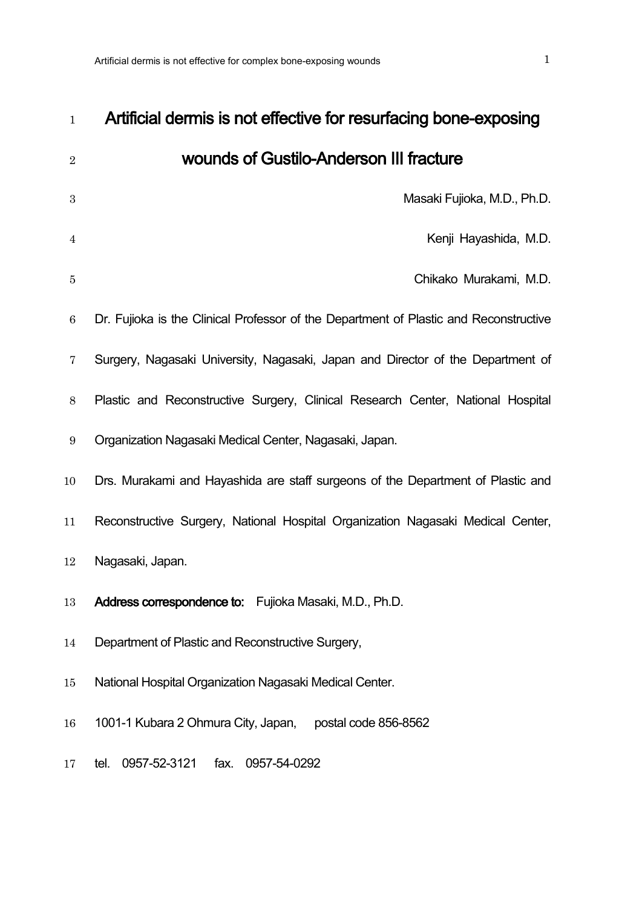| $\mathbf{1}$     | Artificial dermis is not effective for resurfacing bone-exposing                      |
|------------------|---------------------------------------------------------------------------------------|
| $\sqrt{2}$       | wounds of Gustilo-Anderson III fracture                                               |
| $\boldsymbol{3}$ | Masaki Fujioka, M.D., Ph.D.                                                           |
| 4                | Kenji Hayashida, M.D.                                                                 |
| $\bf 5$          | Chikako Murakami, M.D.                                                                |
| $\,6\,$          | Dr. Fujioka is the Clinical Professor of the Department of Plastic and Reconstructive |
| $\overline{7}$   | Surgery, Nagasaki University, Nagasaki, Japan and Director of the Department of       |
| $8\,$            | Plastic and Reconstructive Surgery, Clinical Research Center, National Hospital       |
| $\boldsymbol{9}$ | Organization Nagasaki Medical Center, Nagasaki, Japan.                                |
| 10               | Drs. Murakami and Hayashida are staff surgeons of the Department of Plastic and       |
| 11               | Reconstructive Surgery, National Hospital Organization Nagasaki Medical Center,       |
| 12               | Nagasaki, Japan.                                                                      |
| 13               | Address correspondence to: Fujioka Masaki, M.D., Ph.D.                                |
| 14               | Department of Plastic and Reconstructive Surgery,                                     |
| 15               | National Hospital Organization Nagasaki Medical Center.                               |
| 16               | 1001-1 Kubara 2 Ohmura City, Japan,<br>postal code 856-8562                           |
| 17               | 0957-52-3121<br>fax.<br>0957-54-0292<br>tel.                                          |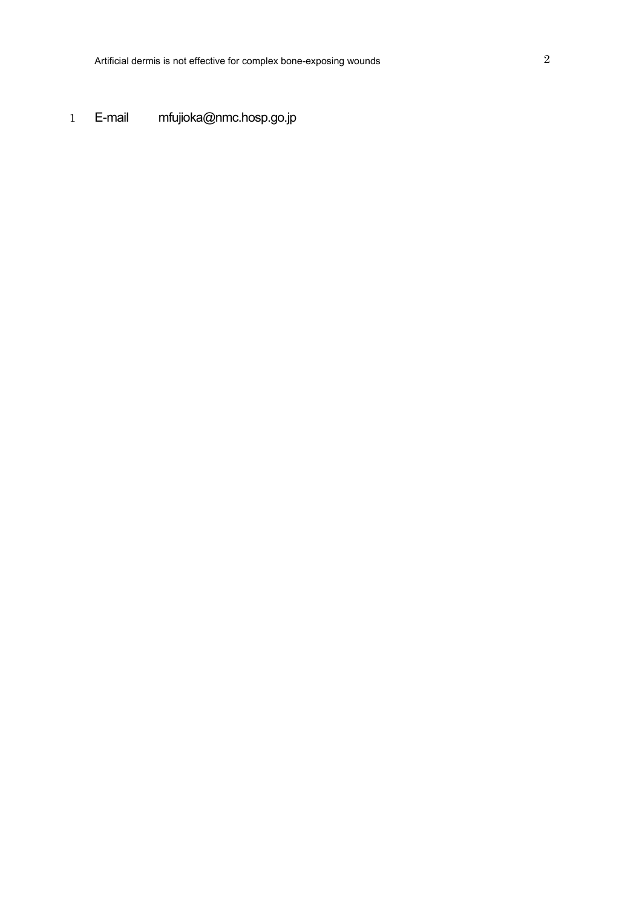1 E-mail [mfujioka@nmc.hosp.go.jp](mailto:mfujioka@nmc.hosp.go.jp)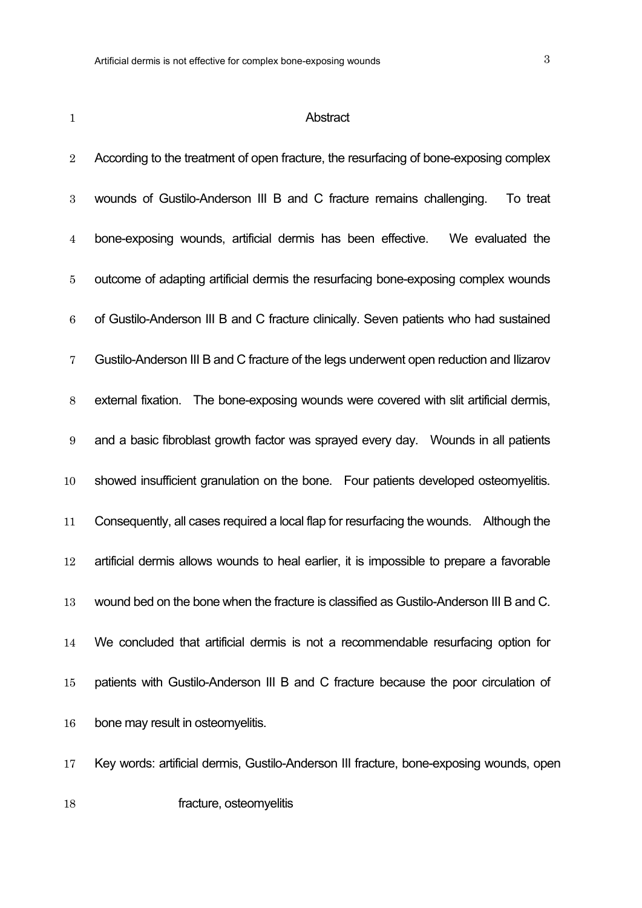#### **Abstract**

2 According to the treatment of open fracture, the resurfacing of bone-exposing complex wounds of Gustilo-Anderson III B and C fracture remains challenging. To treat bone-exposing wounds, artificial dermis has been effective. We evaluated the outcome of adapting artificial dermis the resurfacing bone-exposing complex wounds of Gustilo-Anderson III B and C fracture clinically. Seven patients who had sustained Gustilo-Anderson III B and C fracture of the legs underwent open reduction and Ilizarov external fixation. The bone-exposing wounds were covered with slit artificial dermis, and a basic fibroblast growth factor was sprayed every day. Wounds in all patients showed insufficient granulation on the bone. Four patients developed osteomyelitis. Consequently, all cases required a local flap for resurfacing the wounds. Although the artificial dermis allows wounds to heal earlier, it is impossible to prepare a favorable wound bed on the bone when the fracture is classified as Gustilo-Anderson III B and C. We concluded that artificial dermis is not a recommendable resurfacing option for patients with Gustilo-Anderson III B and C fracture because the poor circulation of bone may result in osteomyelitis.

Key words: artificial dermis, Gustilo-Anderson III fracture, bone-exposing wounds, open

**fracture**, osteomyelitis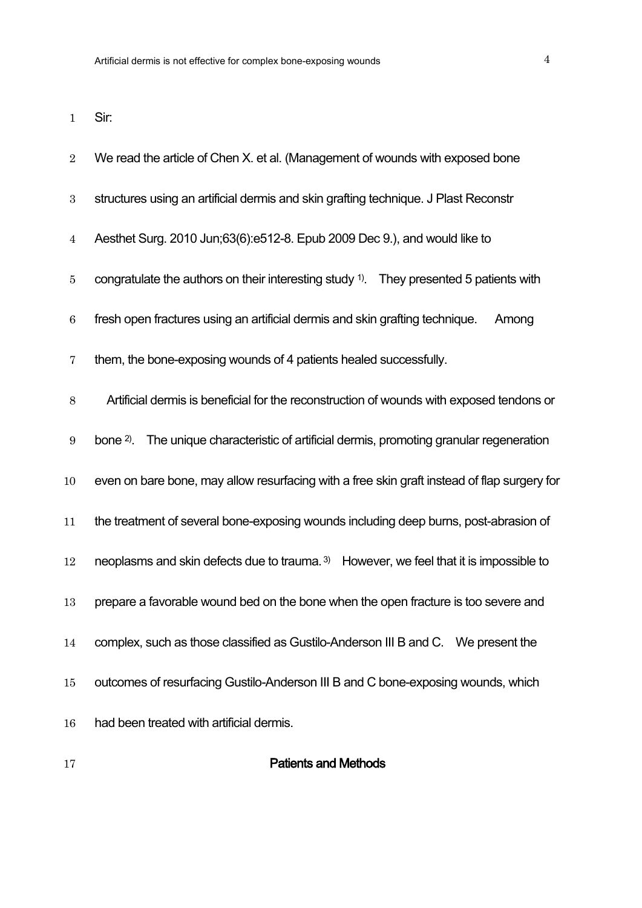Sir:

| $\overline{2}$   | We read the article of Chen X. et al. (Management of wounds with exposed bone                      |  |  |  |  |  |  |  |
|------------------|----------------------------------------------------------------------------------------------------|--|--|--|--|--|--|--|
| $\boldsymbol{3}$ | structures using an artificial dermis and skin grafting technique. J Plast Reconstr                |  |  |  |  |  |  |  |
| $\overline{4}$   | Aesthet Surg. 2010 Jun;63(6):e512-8. Epub 2009 Dec 9.), and would like to                          |  |  |  |  |  |  |  |
| $\overline{5}$   | congratulate the authors on their interesting study <sup>1)</sup> . They presented 5 patients with |  |  |  |  |  |  |  |
| $\,6\,$          | fresh open fractures using an artificial dermis and skin grafting technique.<br>Among              |  |  |  |  |  |  |  |
| 7                | them, the bone-exposing wounds of 4 patients healed successfully.                                  |  |  |  |  |  |  |  |
| $8\,$            | Artificial dermis is beneficial for the reconstruction of wounds with exposed tendons or           |  |  |  |  |  |  |  |
| $9\,$            | The unique characteristic of artificial dermis, promoting granular regeneration<br>bone $2$ ).     |  |  |  |  |  |  |  |
| 10               | even on bare bone, may allow resurfacing with a free skin graft instead of flap surgery for        |  |  |  |  |  |  |  |
| 11               | the treatment of several bone-exposing wounds including deep burns, post-abrasion of               |  |  |  |  |  |  |  |
| 12               | neoplasms and skin defects due to trauma. <sup>3)</sup> However, we feel that it is impossible to  |  |  |  |  |  |  |  |
| 13               | prepare a favorable wound bed on the bone when the open fracture is too severe and                 |  |  |  |  |  |  |  |
| 14               | complex, such as those classified as Gustilo-Anderson III B and C.  We present the                 |  |  |  |  |  |  |  |
| 15               | outcomes of resurfacing Gustilo-Anderson III B and C bone-exposing wounds, which                   |  |  |  |  |  |  |  |
| 16               | had been treated with artificial dermis.                                                           |  |  |  |  |  |  |  |
|                  |                                                                                                    |  |  |  |  |  |  |  |

## **Patients and Methods**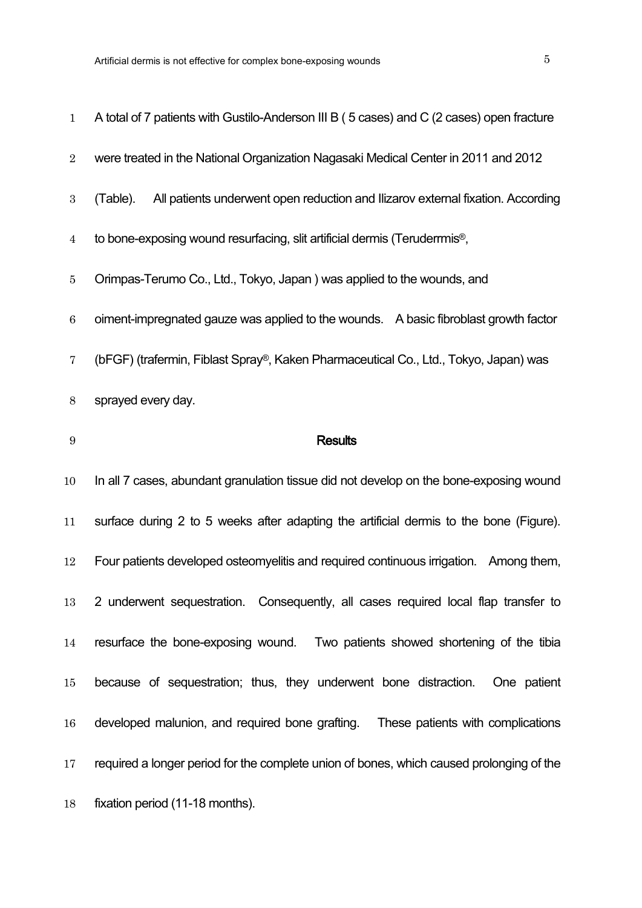| $\mathbf 1$      | A total of 7 patients with Gustilo-Anderson III B (5 cases) and C (2 cases) open fracture   |
|------------------|---------------------------------------------------------------------------------------------|
| $\overline{2}$   | were treated in the National Organization Nagasaki Medical Center in 2011 and 2012          |
| $\boldsymbol{3}$ | All patients underwent open reduction and Ilizarov external fixation. According<br>(Table). |
| $\overline{4}$   | to bone-exposing wound resurfacing, slit artificial dermis (Teruderrmis <sup>®</sup> ,      |
| $\bf 5$          | Orimpas-Terumo Co., Ltd., Tokyo, Japan) was applied to the wounds, and                      |
| $\,6\,$          | oiment-impregnated gauze was applied to the wounds. A basic fibroblast growth factor        |
| 7                | (bFGF) (trafermin, Fiblast Spray®, Kaken Pharmaceutical Co., Ltd., Tokyo, Japan) was        |
| 8                | sprayed every day.                                                                          |
| $\boldsymbol{9}$ | <b>Results</b>                                                                              |
| 10               | In all 7 cases, abundant granulation tissue did not develop on the bone-exposing wound      |
| 11               | surface during 2 to 5 weeks after adapting the artificial dermis to the bone (Figure).      |
| 12               | Four patients developed osteomyelitis and required continuous irrigation. Among them,       |
| 13               | 2 underwent sequestration. Consequently, all cases required local flap transfer to          |
| 14               | resurface the bone-exposing wound. Two patients showed shortening of the tibia              |
| $15\,$           | because of sequestration; thus, they underwent bone distraction.<br>One patient             |
| 16               | developed malunion, and required bone grafting. These patients with complications           |
| 17               | required a longer period for the complete union of bones, which caused prolonging of the    |
| 18               | fixation period (11-18 months).                                                             |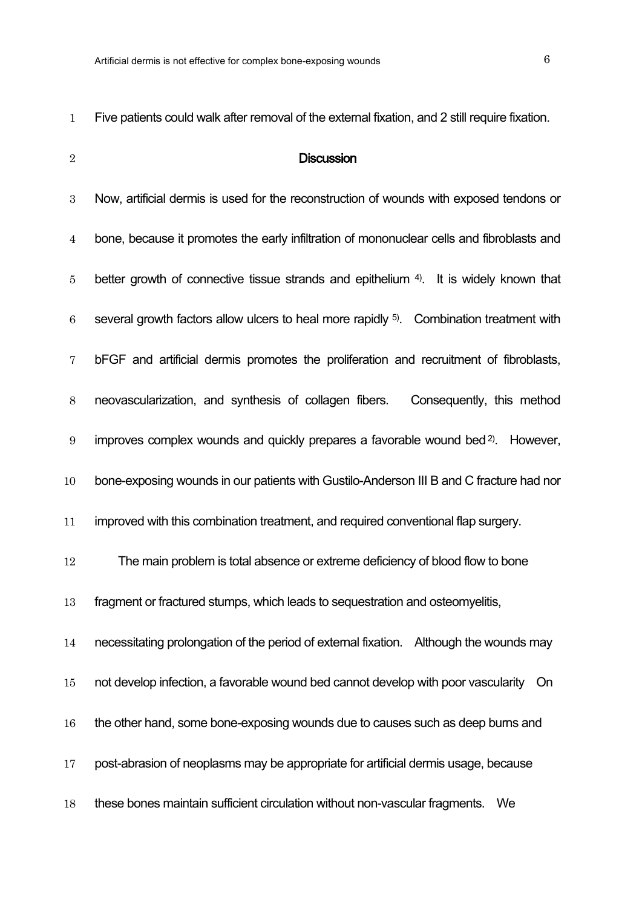|   | ۰. |   |   |  |
|---|----|---|---|--|
|   |    |   |   |  |
| × |    | I | ٠ |  |
|   |    |   |   |  |
|   |    |   |   |  |
|   |    |   |   |  |

## **Discussion**

| $\boldsymbol{3}$ | Now, artificial dermis is used for the reconstruction of wounds with exposed tendons or             |
|------------------|-----------------------------------------------------------------------------------------------------|
| $\overline{4}$   | bone, because it promotes the early infiltration of mononuclear cells and fibroblasts and           |
| $\overline{5}$   | better growth of connective tissue strands and epithelium 4). It is widely known that               |
| $\,6\,$          | several growth factors allow ulcers to heal more rapidly <sup>5)</sup> . Combination treatment with |
| 7                | bFGF and artificial dermis promotes the proliferation and recruitment of fibroblasts,               |
| $8\,$            | neovascularization, and synthesis of collagen fibers.<br>Consequently, this method                  |
| $\boldsymbol{9}$ | improves complex wounds and quickly prepares a favorable wound bed <sup>2)</sup> . However,         |
| 10               | bone-exposing wounds in our patients with Gustilo-Anderson III B and C fracture had nor             |
| 11               | improved with this combination treatment, and required conventional flap surgery.                   |
| 12               | The main problem is total absence or extreme deficiency of blood flow to bone                       |
| 13               | fragment or fractured stumps, which leads to sequestration and osteomyelitis,                       |
| 14               | necessitating prolongation of the period of external fixation. Although the wounds may              |
| 15               | not develop infection, a favorable wound bed cannot develop with poor vascularity<br>On             |
| 16               | the other hand, some bone-exposing wounds due to causes such as deep burns and                      |
| 17               | post-abrasion of neoplasms may be appropriate for artificial dermis usage, because                  |
| 18               | these bones maintain sufficient circulation without non-vascular fragments.<br>We                   |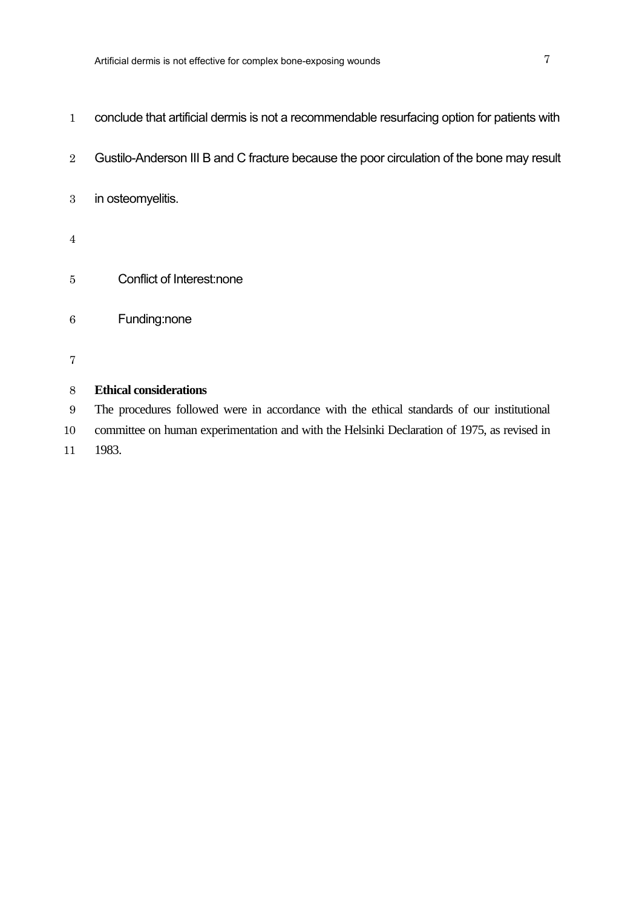- conclude that artificial dermis is not a recommendable resurfacing option for patients with
- 2 Gustilo-Anderson III B and C fracture because the poor circulation of the bone may result
- in osteomyelitis.
- 
- Conflict of Interest:none
- Funding:none
- 

### **Ethical considerations**

 The procedures followed were in accordance with the ethical standards of our institutional committee on human experimentation and with the Helsinki Declaration of 1975, as revised in 1983.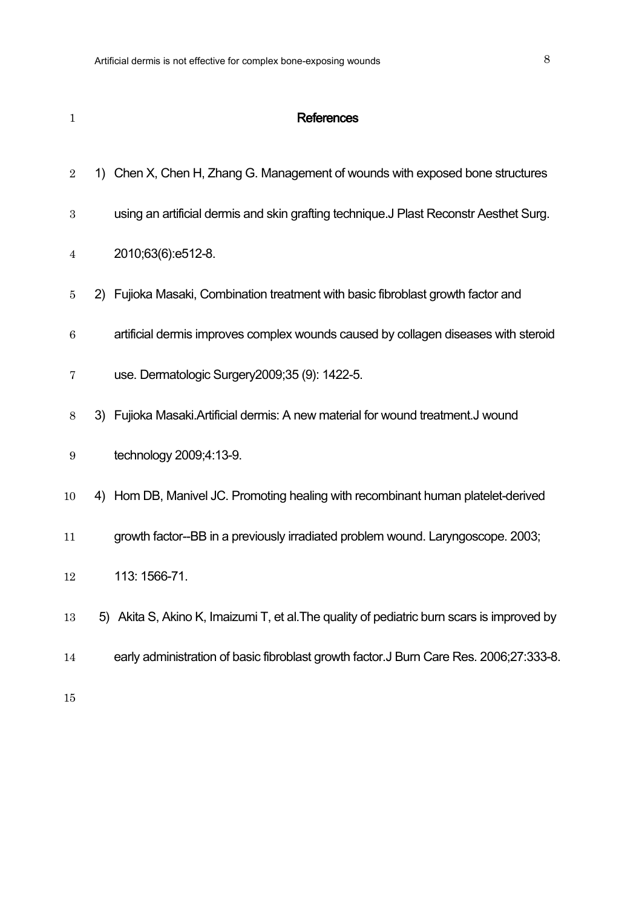| $\mathbf{1}$     | <b>References</b>                                                                          |
|------------------|--------------------------------------------------------------------------------------------|
| $\overline{2}$   | 1) Chen X, Chen H, Zhang G. Management of wounds with exposed bone structures              |
| 3                | using an artificial dermis and skin grafting technique. J Plast Reconstr Aesthet Surg.     |
| 4                | 2010;63(6):e512-8.                                                                         |
| 5                | 2) Fujioka Masaki, Combination treatment with basic fibroblast growth factor and           |
| $\boldsymbol{6}$ | artificial dermis improves complex wounds caused by collagen diseases with steroid         |
| 7                | use. Dermatologic Surgery 2009; 35 (9): 1422-5.                                            |
| 8                | 3) Fujioka Masaki. Artificial dermis: A new material for wound treatment. J wound          |
| 9                | technology 2009;4:13-9.                                                                    |
| 10               | 4) Hom DB, Manivel JC. Promoting healing with recombinant human platelet-derived           |
| 11               | growth factor--BB in a previously irradiated problem wound. Laryngoscope. 2003;            |
| 12               | 113: 1566-71.                                                                              |
| 13               | 5) Akita S, Akino K, Imaizumi T, et al. The quality of pediatric burn scars is improved by |
| 14               | early administration of basic fibroblast growth factor. J Burn Care Res. 2006;27:333-8.    |
|                  |                                                                                            |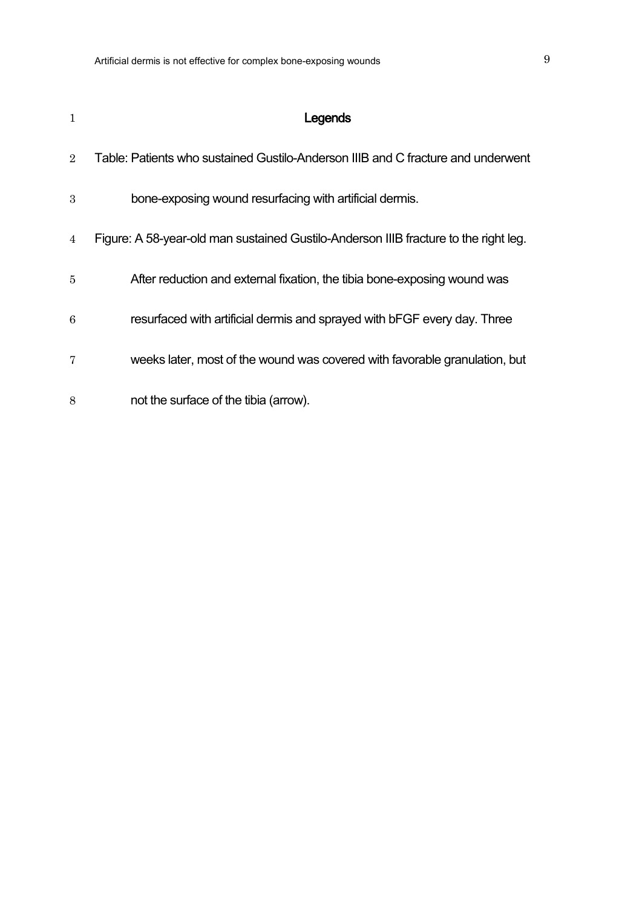| $\mathbf{1}$   | Legends                                                                              |
|----------------|--------------------------------------------------------------------------------------|
| $\overline{2}$ | Table: Patients who sustained Gustilo-Anderson IIIB and C fracture and underwent     |
| 3              | bone-exposing wound resurfacing with artificial dermis.                              |
| 4              | Figure: A 58-year-old man sustained Gustilo-Anderson IIIB fracture to the right leg. |
| $\overline{5}$ | After reduction and external fixation, the tibia bone-exposing wound was             |
| 6              | resurfaced with artificial dermis and sprayed with bFGF every day. Three             |
| 7              | weeks later, most of the wound was covered with favorable granulation, but           |
| 8              | not the surface of the tibia (arrow).                                                |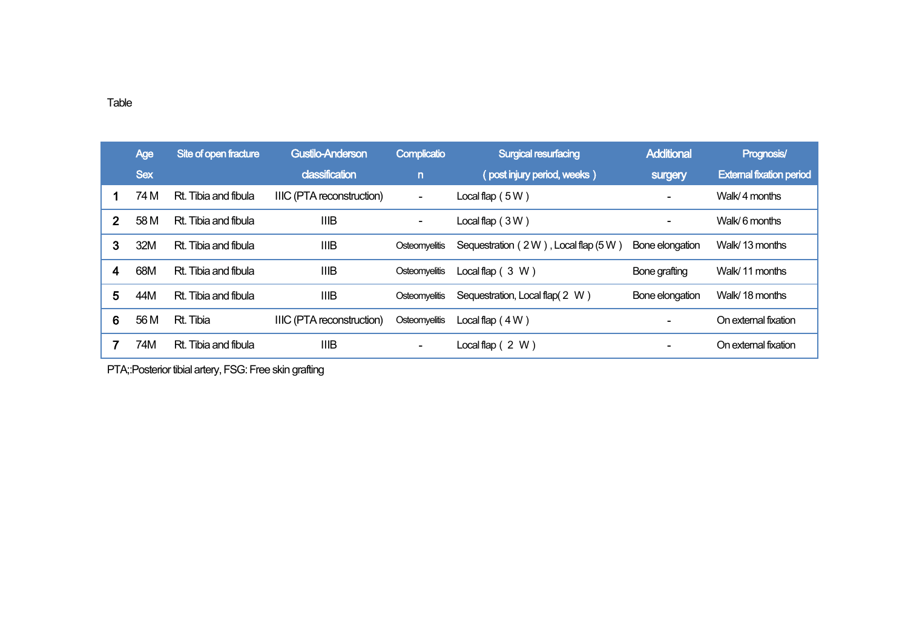|              | <b>Age</b> | Site of open fracture | <b>Gustilo-Anderson</b>          | Complicatio              | <b>Surgical resurfacing</b>         | <b>Additional</b>        | Prognosis/                      |
|--------------|------------|-----------------------|----------------------------------|--------------------------|-------------------------------------|--------------------------|---------------------------------|
|              | <b>Sex</b> |                       | classification                   | $\overline{p}$           | (post injury period, weeks)         | surgery                  | <b>External fixation period</b> |
|              | 74 M       | Rt. Tibia and fibula  | <b>IIIC (PTA reconstruction)</b> | $\overline{\phantom{a}}$ | Local flap $(5W)$                   |                          | Walk/4 months                   |
| $\mathbf{2}$ | 58 M       | Rt. Tibia and fibula  | <b>IIIB</b>                      | $\overline{\phantom{a}}$ | Local flap $(3W)$                   | $\overline{\phantom{0}}$ | Walk/6 months                   |
| 3            | 32M        | Rt. Tibia and fibula  | <b>IIIB</b>                      | Osteomyelitis            | Sequestration (2W), Local flap (5W) | Bone elongation          | Walk/13 months                  |
| 4            | 68M        | Rt. Tibia and fibula  | <b>IIIB</b>                      | Osteomyelitis            | Local flap $(3 W)$                  | Bone grafting            | Walk/11 months                  |
| 5            | 44M        | Rt. Tibia and fibula  | <b>IIIB</b>                      | Osteomyelitis            | Sequestration, Local flap(2 W)      | Bone elongation          | Walk/18 months                  |
| 6            | 56 M       | Rt. Tibia             | IIIC (PTA reconstruction)        | Osteomyelitis            | Local flap $(4W)$                   |                          | On external fixation            |
|              | 74M        | Rt. Tibia and fibula  | <b>IIIB</b>                      |                          | Local flap $(2 W)$                  |                          | On external fixation            |

PTA;:Posterior tibial artery, FSG: Free skin grafting

#### Table